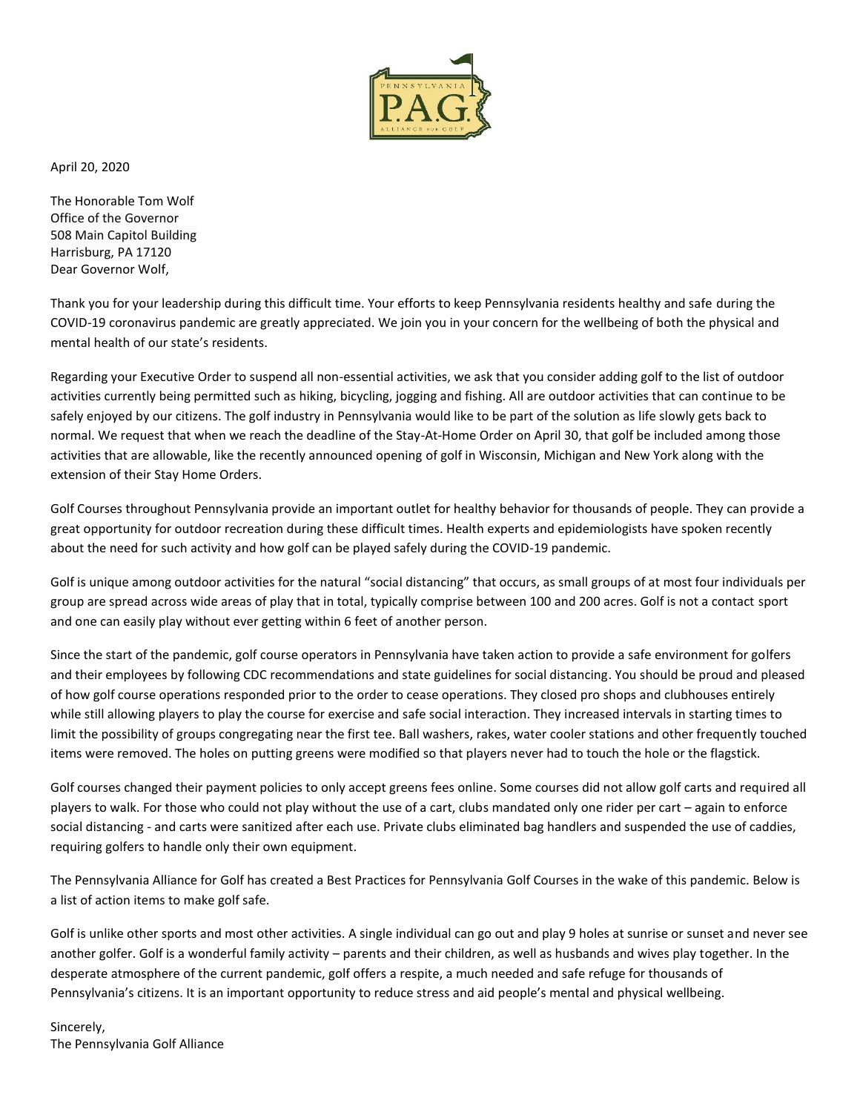

April 20, 2020

The Honorable Tom Wolf Office of the Governor 508 Main Capitol Building Harrisburg, PA 17120 Dear Governor Wolf,

Thank you for your leadership during this difficult time. Your efforts to keep Pennsylvania residents healthy and safe during the COVID-19 coronavirus pandemic are greatly appreciated. We join you in your concern for the wellbeing of both the physical and mental health of our state's residents.

Regarding your Executive Order to suspend all non-essential activities, we ask that you consider adding golf to the list of outdoor activities currently being permitted such as hiking, bicycling, jogging and fishing. All are outdoor activities that can continue to be safely enjoyed by our citizens. The golf industry in Pennsylvania would like to be part of the solution as life slowly gets back to normal. We request that when we reach the deadline of the Stay-At-Home Order on April 30, that golf be included among those activities that are allowable, like the recently announced opening of golf in Wisconsin, Michigan and New York along with the extension of their Stay Home Orders.

Golf Courses throughout Pennsylvania provide an important outlet for healthy behavior for thousands of people. They can provide a great opportunity for outdoor recreation during these difficult times. Health experts and epidemiologists have spoken recently about the need for such activity and how golf can be played safely during the COVID-19 pandemic.

Golf is unique among outdoor activities for the natural "social distancing" that occurs, as small groups of at most four individuals per group are spread across wide areas of play that in total, typically comprise between 100 and 200 acres. Golf is not a contact sport and one can easily play without ever getting within 6 feet of another person.

Since the start of the pandemic, golf course operators in Pennsylvania have taken action to provide a safe environment for golfers and their employees by following CDC recommendations and state guidelines for social distancing. You should be proud and pleased of how golf course operations responded prior to the order to cease operations. They closed pro shops and clubhouses entirely while still allowing players to play the course for exercise and safe social interaction. They increased intervals in starting times to limit the possibility of groups congregating near the first tee. Ball washers, rakes, water cooler stations and other frequently touched items were removed. The holes on putting greens were modified so that players never had to touch the hole or the flagstick.

Golf courses changed their payment policies to only accept greens fees online. Some courses did not allow golf carts and required all players to walk. For those who could not play without the use of a cart, clubs mandated only one rider per cart – again to enforce social distancing - and carts were sanitized after each use. Private clubs eliminated bag handlers and suspended the use of caddies, requiring golfers to handle only their own equipment.

The Pennsylvania Alliance for Golf has created a Best Practices for Pennsylvania Golf Courses in the wake of this pandemic. Below is a list of action items to make golf safe.

Golf is unlike other sports and most other activities. A single individual can go out and play 9 holes at sunrise or sunset and never see another golfer. Golf is a wonderful family activity – parents and their children, as well as husbands and wives play together. In the desperate atmosphere of the current pandemic, golf offers a respite, a much needed and safe refuge for thousands of Pennsylvania's citizens. It is an important opportunity to reduce stress and aid people's mental and physical wellbeing.

Sincerely, The Pennsylvania Golf Alliance